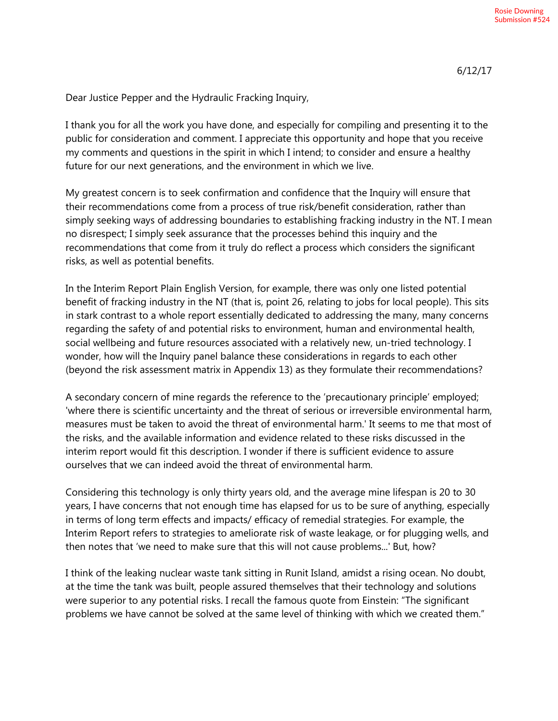Dear Justice Pepper and the Hydraulic Fracking Inquiry,

I thank you for all the work you have done, and especially for compiling and presenting it to the public for consideration and comment. I appreciate this opportunity and hope that you receive my comments and questions in the spirit in which I intend; to consider and ensure a healthy future for our next generations, and the environment in which we live.

My greatest concern is to seek confirmation and confidence that the Inquiry will ensure that their recommendations come from a process of true risk/benefit consideration, rather than simply seeking ways of addressing boundaries to establishing fracking industry in the NT. I mean no disrespect; I simply seek assurance that the processes behind this inquiry and the recommendations that come from it truly do reflect a process which considers the significant risks, as well as potential benefits.

In the Interim Report Plain English Version, for example, there was only one listed potential benefit of fracking industry in the NT (that is, point 26, relating to jobs for local people). This sits in stark contrast to a whole report essentially dedicated to addressing the many, many concerns regarding the safety of and potential risks to environment, human and environmental health, social wellbeing and future resources associated with a relatively new, un-tried technology. I wonder, how will the Inquiry panel balance these considerations in regards to each other (beyond the risk assessment matrix in Appendix 13) as they formulate their recommendations?

A secondary concern of mine regards the reference to the 'precautionary principle' employed; 'where there is scientific uncertainty and the threat of serious or irreversible environmental harm, measures must be taken to avoid the threat of environmental harm.' It seems to me that most of the risks, and the available information and evidence related to these risks discussed in the interim report would fit this description. I wonder if there is sufficient evidence to assure ourselves that we can indeed avoid the threat of environmental harm.

Considering this technology is only thirty years old, and the average mine lifespan is 20 to 30 years, I have concerns that not enough time has elapsed for us to be sure of anything, especially in terms of long term effects and impacts/ efficacy of remedial strategies. For example, the Interim Report refers to strategies to ameliorate risk of waste leakage, or for plugging wells, and then notes that 'we need to make sure that this will not cause problems...' But, how?

I think of the leaking nuclear waste tank sitting in Runit Island, amidst a rising ocean. No doubt, at the time the tank was built, people assured themselves that their technology and solutions were superior to any potential risks. I recall the famous quote from Einstein: "The significant problems we have cannot be solved at the same level of thinking with which we created them."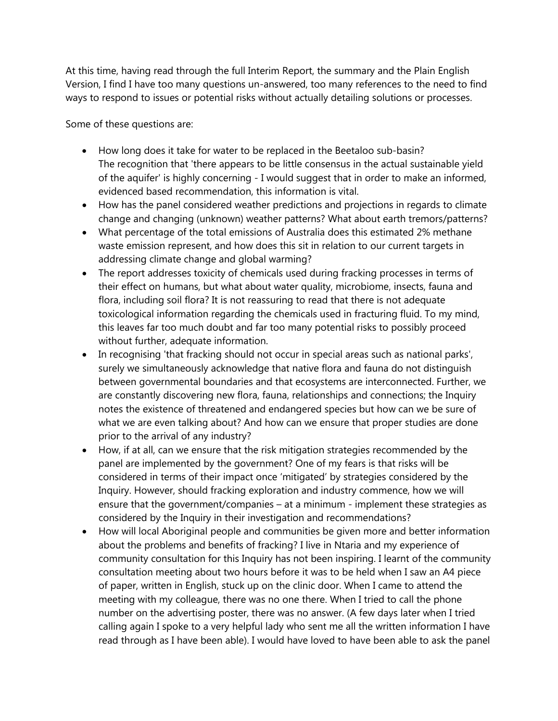At this time, having read through the full Interim Report, the summary and the Plain English Version, I find I have too many questions un-answered, too many references to the need to find ways to respond to issues or potential risks without actually detailing solutions or processes.

Some of these questions are:

- How long does it take for water to be replaced in the Beetaloo sub-basin? The recognition that 'there appears to be little consensus in the actual sustainable yield of the aquifer' is highly concerning - I would suggest that in order to make an informed, evidenced based recommendation, this information is vital.
- How has the panel considered weather predictions and projections in regards to climate change and changing (unknown) weather patterns? What about earth tremors/patterns?
- What percentage of the total emissions of Australia does this estimated 2% methane waste emission represent, and how does this sit in relation to our current targets in addressing climate change and global warming?
- The report addresses toxicity of chemicals used during fracking processes in terms of their effect on humans, but what about water quality, microbiome, insects, fauna and flora, including soil flora? It is not reassuring to read that there is not adequate toxicological information regarding the chemicals used in fracturing fluid. To my mind, this leaves far too much doubt and far too many potential risks to possibly proceed without further, adequate information.
- In recognising 'that fracking should not occur in special areas such as national parks', surely we simultaneously acknowledge that native flora and fauna do not distinguish between governmental boundaries and that ecosystems are interconnected. Further, we are constantly discovering new flora, fauna, relationships and connections; the Inquiry notes the existence of threatened and endangered species but how can we be sure of what we are even talking about? And how can we ensure that proper studies are done prior to the arrival of any industry?
- How, if at all, can we ensure that the risk mitigation strategies recommended by the panel are implemented by the government? One of my fears is that risks will be considered in terms of their impact once 'mitigated' by strategies considered by the Inquiry. However, should fracking exploration and industry commence, how we will ensure that the government/companies – at a minimum - implement these strategies as considered by the Inquiry in their investigation and recommendations?
- How will local Aboriginal people and communities be given more and better information about the problems and benefits of fracking? I live in Ntaria and my experience of community consultation for this Inquiry has not been inspiring. I learnt of the community consultation meeting about two hours before it was to be held when I saw an A4 piece of paper, written in English, stuck up on the clinic door. When I came to attend the meeting with my colleague, there was no one there. When I tried to call the phone number on the advertising poster, there was no answer. (A few days later when I tried calling again I spoke to a very helpful lady who sent me all the written information I have read through as I have been able). I would have loved to have been able to ask the panel